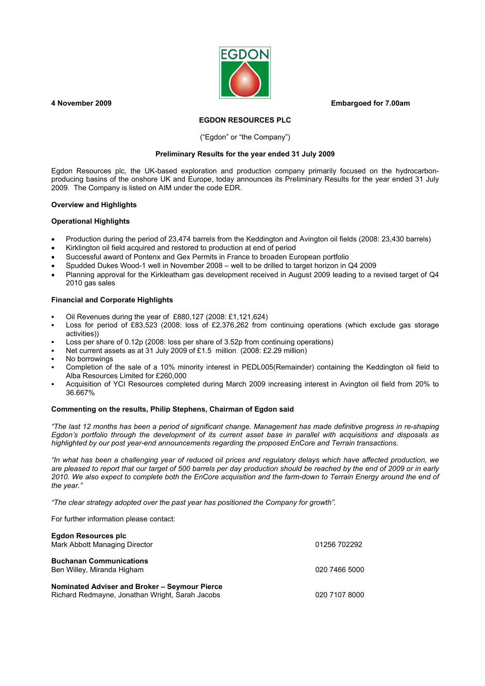

**4 November 2009 Embargoed for 7.00am** 

### **EGDON RESOURCES PLC**

### ("Egdon" or "the Company")

#### **Preliminary Results for the year ended 31 July 2009**

Egdon Resources plc, the UK-based exploration and production company primarily focused on the hydrocarbonproducing basins of the onshore UK and Europe, today announces its Preliminary Results for the year ended 31 July 2009. The Company is listed on AIM under the code EDR.

#### **Overview and Highlights**

### **Operational Highlights**

- Production during the period of 23,474 barrels from the Keddington and Avington oil fields (2008: 23,430 barrels)
- Kirklington oil field acquired and restored to production at end of period
- Successful award of Pontenx and Gex Permits in France to broaden European portfolio
- Spudded Dukes Wood-1 well in November 2008 well to be drilled to target horizon in Q4 2009
- Planning approval for the Kirkleatham gas development received in August 2009 leading to a revised target of Q4 2010 gas sales

#### **Financial and Corporate Highlights**

- Oil Revenues during the year of £880,127 (2008: £1,121,624)
- Loss for period of £83,523 (2008: loss of £2,376,262 from continuing operations (which exclude gas storage activities))
- Loss per share of 0.12p (2008: loss per share of 3.52p from continuing operations)
- Net current assets as at 31 July 2009 of £1.5 million (2008: £2.29 million)
- No borrowings
- Completion of the sale of a 10% minority interest in PEDL005(Remainder) containing the Keddington oil field to Alba Resources Limited for £260,000
- Acquisition of YCI Resources completed during March 2009 increasing interest in Avington oil field from 20% to 36.667%

### **Commenting on the results, Philip Stephens, Chairman of Egdon said**

*"The last 12 months has been a period of significant change. Management has made definitive progress in re-shaping Egdon's portfolio through the development of its current asset base in parallel with acquisitions and disposals as highlighted by our post year-end announcements regarding the proposed EnCore and Terrain transactions.* 

*"In what has been a challenging year of reduced oil prices and regulatory delays which have affected production, we are pleased to report that our target of 500 barrels per day production should be reached by the end of 2009 or in early 2010. We also expect to complete both the EnCore acquisition and the farm-down to Terrain Energy around the end of the year."* 

*"The clear strategy adopted over the past year has positioned the Company for growth".*

For further information please contact:

| <b>Egdon Resources plc</b><br>Mark Abbott Managing Director                                      | 01256 702292  |
|--------------------------------------------------------------------------------------------------|---------------|
| <b>Buchanan Communications</b><br>Ben Willey, Miranda Higham                                     | 020 7466 5000 |
| Nominated Adviser and Broker - Seymour Pierce<br>Richard Redmayne, Jonathan Wright, Sarah Jacobs | 020 7107 8000 |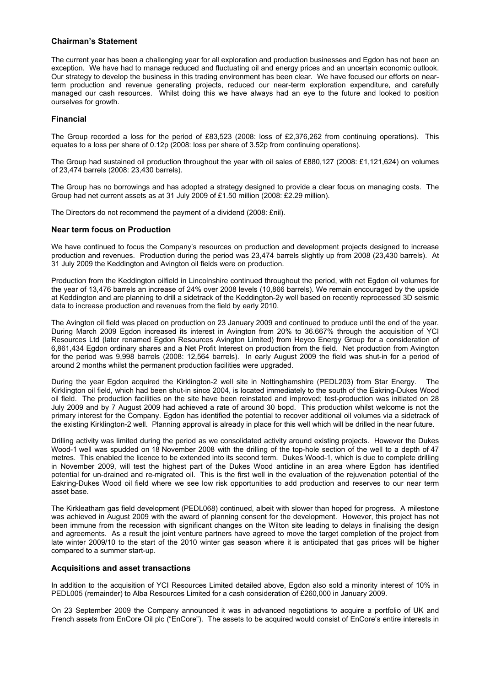## **Chairman's Statement**

The current year has been a challenging year for all exploration and production businesses and Egdon has not been an exception. We have had to manage reduced and fluctuating oil and energy prices and an uncertain economic outlook. Our strategy to develop the business in this trading environment has been clear. We have focused our efforts on nearterm production and revenue generating projects, reduced our near-term exploration expenditure, and carefully managed our cash resources. Whilst doing this we have always had an eye to the future and looked to position ourselves for growth.

## **Financial**

The Group recorded a loss for the period of £83,523 (2008: loss of £2,376,262 from continuing operations). This equates to a loss per share of 0.12p (2008: loss per share of 3.52p from continuing operations).

The Group had sustained oil production throughout the year with oil sales of £880,127 (2008: £1,121,624) on volumes of 23,474 barrels (2008: 23,430 barrels).

The Group has no borrowings and has adopted a strategy designed to provide a clear focus on managing costs. The Group had net current assets as at 31 July 2009 of £1.50 million (2008: £2.29 million).

The Directors do not recommend the payment of a dividend (2008: £nil).

### **Near term focus on Production**

We have continued to focus the Company's resources on production and development projects designed to increase production and revenues. Production during the period was 23,474 barrels slightly up from 2008 (23,430 barrels). At 31 July 2009 the Keddington and Avington oil fields were on production.

Production from the Keddington oilfield in Lincolnshire continued throughout the period, with net Egdon oil volumes for the year of 13,476 barrels an increase of 24% over 2008 levels (10,866 barrels). We remain encouraged by the upside at Keddington and are planning to drill a sidetrack of the Keddington-2y well based on recently reprocessed 3D seismic data to increase production and revenues from the field by early 2010.

The Avington oil field was placed on production on 23 January 2009 and continued to produce until the end of the year. During March 2009 Egdon increased its interest in Avington from 20% to 36.667% through the acquisition of YCI Resources Ltd (later renamed Egdon Resources Avington Limited) from Heyco Energy Group for a consideration of 6,861,434 Egdon ordinary shares and a Net Profit Interest on production from the field. Net production from Avington for the period was 9,998 barrels (2008: 12,564 barrels). In early August 2009 the field was shut-in for a period of around 2 months whilst the permanent production facilities were upgraded.

During the year Egdon acquired the Kirklington-2 well site in Nottinghamshire (PEDL203) from Star Energy. The Kirklington oil field, which had been shut-in since 2004, is located immediately to the south of the Eakring-Dukes Wood oil field. The production facilities on the site have been reinstated and improved; test-production was initiated on 28 July 2009 and by 7 August 2009 had achieved a rate of around 30 bopd. This production whilst welcome is not the primary interest for the Company. Egdon has identified the potential to recover additional oil volumes via a sidetrack of the existing Kirklington-2 well. Planning approval is already in place for this well which will be drilled in the near future.

Drilling activity was limited during the period as we consolidated activity around existing projects. However the Dukes Wood-1 well was spudded on 18 November 2008 with the drilling of the top-hole section of the well to a depth of 47 metres. This enabled the licence to be extended into its second term. Dukes Wood-1, which is due to complete drilling in November 2009, will test the highest part of the Dukes Wood anticline in an area where Egdon has identified potential for un-drained and re-migrated oil. This is the first well in the evaluation of the rejuvenation potential of the Eakring-Dukes Wood oil field where we see low risk opportunities to add production and reserves to our near term asset base.

The Kirkleatham gas field development (PEDL068) continued, albeit with slower than hoped for progress. A milestone was achieved in August 2009 with the award of planning consent for the development. However, this project has not been immune from the recession with significant changes on the Wilton site leading to delays in finalising the design and agreements. As a result the joint venture partners have agreed to move the target completion of the project from late winter 2009/10 to the start of the 2010 winter gas season where it is anticipated that gas prices will be higher compared to a summer start-up.

### **Acquisitions and asset transactions**

In addition to the acquisition of YCI Resources Limited detailed above. Egdon also sold a minority interest of 10% in PEDL005 (remainder) to Alba Resources Limited for a cash consideration of £260,000 in January 2009.

On 23 September 2009 the Company announced it was in advanced negotiations to acquire a portfolio of UK and French assets from EnCore Oil plc ("EnCore"). The assets to be acquired would consist of EnCore's entire interests in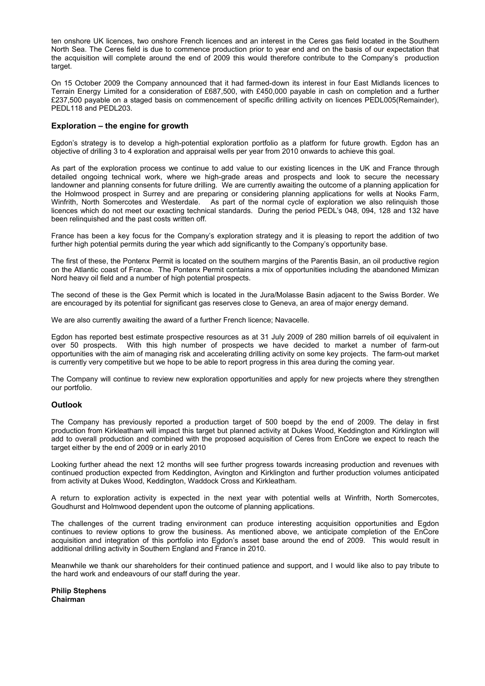ten onshore UK licences, two onshore French licences and an interest in the Ceres gas field located in the Southern North Sea. The Ceres field is due to commence production prior to year end and on the basis of our expectation that the acquisition will complete around the end of 2009 this would therefore contribute to the Company's production target.

On 15 October 2009 the Company announced that it had farmed-down its interest in four East Midlands licences to Terrain Energy Limited for a consideration of £687,500, with £450,000 payable in cash on completion and a further £237,500 payable on a staged basis on commencement of specific drilling activity on licences PEDL005(Remainder), PEDL118 and PEDL203.

#### **Exploration – the engine for growth**

Egdon's strategy is to develop a high-potential exploration portfolio as a platform for future growth. Egdon has an objective of drilling 3 to 4 exploration and appraisal wells per year from 2010 onwards to achieve this goal.

As part of the exploration process we continue to add value to our existing licences in the UK and France through detailed ongoing technical work, where we high-grade areas and prospects and look to secure the necessary landowner and planning consents for future drilling. We are currently awaiting the outcome of a planning application for the Holmwood prospect in Surrey and are preparing or considering planning applications for wells at Nooks Farm, Winfrith, North Somercotes and Westerdale. As part of the normal cycle of exploration we also relinquish those licences which do not meet our exacting technical standards. During the period PEDL's 048, 094, 128 and 132 have been relinquished and the past costs written off.

France has been a key focus for the Company's exploration strategy and it is pleasing to report the addition of two further high potential permits during the year which add significantly to the Company's opportunity base.

The first of these, the Pontenx Permit is located on the southern margins of the Parentis Basin, an oil productive region on the Atlantic coast of France. The Pontenx Permit contains a mix of opportunities including the abandoned Mimizan Nord heavy oil field and a number of high potential prospects.

The second of these is the Gex Permit which is located in the Jura/Molasse Basin adjacent to the Swiss Border. We are encouraged by its potential for significant gas reserves close to Geneva, an area of major energy demand.

We are also currently awaiting the award of a further French licence: Navacelle.

Egdon has reported best estimate prospective resources as at 31 July 2009 of 280 million barrels of oil equivalent in over 50 prospects. With this high number of prospects we have decided to market a number of farm-out opportunities with the aim of managing risk and accelerating drilling activity on some key projects. The farm-out market is currently very competitive but we hope to be able to report progress in this area during the coming year.

The Company will continue to review new exploration opportunities and apply for new projects where they strengthen our portfolio.

### **Outlook**

The Company has previously reported a production target of 500 boepd by the end of 2009. The delay in first production from Kirkleatham will impact this target but planned activity at Dukes Wood, Keddington and Kirklington will add to overall production and combined with the proposed acquisition of Ceres from EnCore we expect to reach the target either by the end of 2009 or in early 2010

Looking further ahead the next 12 months will see further progress towards increasing production and revenues with continued production expected from Keddington, Avington and Kirklington and further production volumes anticipated from activity at Dukes Wood, Keddington, Waddock Cross and Kirkleatham.

A return to exploration activity is expected in the next year with potential wells at Winfrith, North Somercotes, Goudhurst and Holmwood dependent upon the outcome of planning applications.

The challenges of the current trading environment can produce interesting acquisition opportunities and Egdon continues to review options to grow the business. As mentioned above, we anticipate completion of the EnCore acquisition and integration of this portfolio into Egdon's asset base around the end of 2009. This would result in additional drilling activity in Southern England and France in 2010.

Meanwhile we thank our shareholders for their continued patience and support, and I would like also to pay tribute to the hard work and endeavours of our staff during the year.

**Philip Stephens Chairman**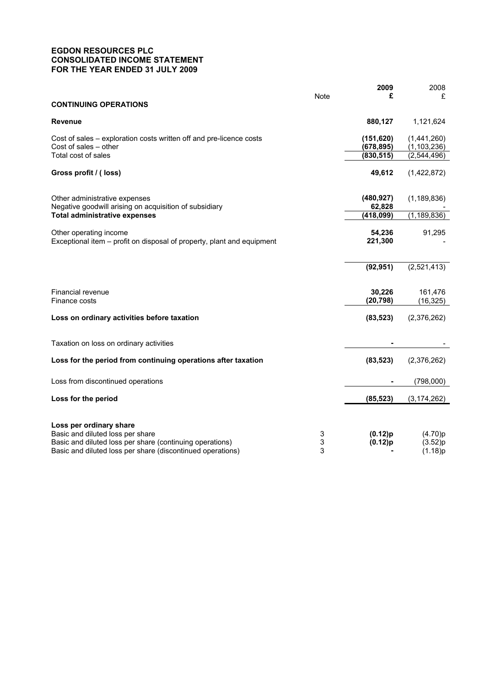# **EGDON RESOURCES PLC CONSOLIDATED INCOME STATEMENT FOR THE YEAR ENDED 31 JULY 2009**

|                                                                                                                                                                                       |             | 2009                     | 2008                          |
|---------------------------------------------------------------------------------------------------------------------------------------------------------------------------------------|-------------|--------------------------|-------------------------------|
| <b>CONTINUING OPERATIONS</b>                                                                                                                                                          | <b>Note</b> | £                        | £                             |
| <b>Revenue</b>                                                                                                                                                                        |             | 880,127                  | 1,121,624                     |
| Cost of sales - exploration costs written off and pre-licence costs<br>Cost of sales - other<br>Total cost of sales                                                                   |             | (151, 620)<br>(678, 895) | (1,441,260)<br>(1, 103, 236)  |
|                                                                                                                                                                                       |             | (830, 515)               | (2,544,496)                   |
| Gross profit / (loss)                                                                                                                                                                 |             | 49,612                   | (1,422,872)                   |
| Other administrative expenses<br>Negative goodwill arising on acquisition of subsidiary                                                                                               |             | (480, 927)<br>62,828     | (1, 189, 836)                 |
| <b>Total administrative expenses</b>                                                                                                                                                  |             | (418,099)                | (1, 189, 836)                 |
| Other operating income<br>Exceptional item - profit on disposal of property, plant and equipment                                                                                      |             | 54,236<br>221,300        | 91,295                        |
|                                                                                                                                                                                       |             | (92, 951)                | (2,521,413)                   |
| Financial revenue<br>Finance costs                                                                                                                                                    |             | 30,226<br>(20, 798)      | 161,476<br>(16, 325)          |
| Loss on ordinary activities before taxation                                                                                                                                           |             | (83, 523)                | (2,376,262)                   |
| Taxation on loss on ordinary activities                                                                                                                                               |             |                          |                               |
| Loss for the period from continuing operations after taxation                                                                                                                         |             | (83, 523)                | (2,376,262)                   |
| Loss from discontinued operations                                                                                                                                                     |             |                          | (798,000)                     |
| Loss for the period                                                                                                                                                                   |             | (85, 523)                | (3, 174, 262)                 |
| Loss per ordinary share<br>Basic and diluted loss per share<br>Basic and diluted loss per share (continuing operations)<br>Basic and diluted loss per share (discontinued operations) | 3<br>3<br>3 | (0.12)p<br>(0.12)p       | (4.70)p<br>(3.52)p<br>(1.18)p |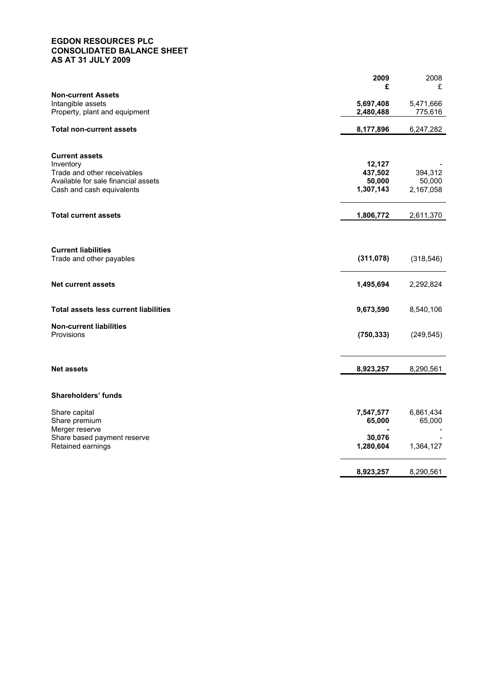## **EGDON RESOURCES PLC CONSOLIDATED BALANCE SHEET AS AT 31 JULY 2009**

|                                                                                                                                       | 2009<br>£                                | 2008<br>£                      |
|---------------------------------------------------------------------------------------------------------------------------------------|------------------------------------------|--------------------------------|
| <b>Non-current Assets</b><br>Intangible assets<br>Property, plant and equipment                                                       | 5,697,408<br>2,480,488                   | 5,471,666<br>775,616           |
| <b>Total non-current assets</b>                                                                                                       | 8,177,896                                | 6,247,282                      |
| <b>Current assets</b><br>Inventory<br>Trade and other receivables<br>Available for sale financial assets<br>Cash and cash equivalents | 12,127<br>437,502<br>50,000<br>1,307,143 | 394,312<br>50,000<br>2,167,058 |
| <b>Total current assets</b>                                                                                                           | 1,806,772                                | 2,611,370                      |
| <b>Current liabilities</b><br>Trade and other payables                                                                                | (311, 078)                               | (318, 546)                     |
| <b>Net current assets</b>                                                                                                             | 1,495,694                                | 2,292,824                      |
| <b>Total assets less current liabilities</b>                                                                                          | 9,673,590                                | 8,540,106                      |
| <b>Non-current liabilities</b><br>Provisions                                                                                          | (750, 333)                               | (249, 545)                     |
| <b>Net assets</b>                                                                                                                     | 8,923,257                                | 8,290,561                      |
| Shareholders' funds                                                                                                                   |                                          |                                |
| Share capital<br>Share premium<br>Merger reserve                                                                                      | 7,547,577<br>65,000                      | 6,861,434<br>65,000            |
| Share based payment reserve<br>Retained earnings                                                                                      | 30,076<br>1,280,604                      | 1,364,127                      |
|                                                                                                                                       | 8,923,257                                | 8,290,561                      |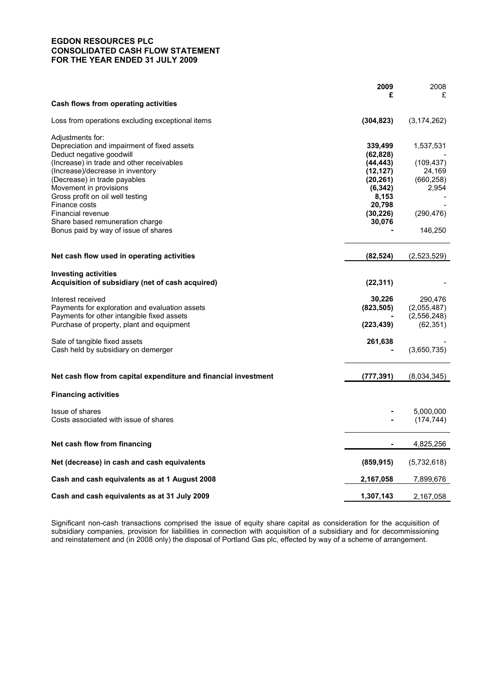## **EGDON RESOURCES PLC CONSOLIDATED CASH FLOW STATEMENT FOR THE YEAR ENDED 31 JULY 2009**

|                                                                 | 2009                | 2008          |
|-----------------------------------------------------------------|---------------------|---------------|
|                                                                 | £                   | £             |
| Cash flows from operating activities                            |                     |               |
| Loss from operations excluding exceptional items                | (304, 823)          | (3, 174, 262) |
| Adjustments for:                                                |                     |               |
| Depreciation and impairment of fixed assets                     | 339,499             | 1,537,531     |
| Deduct negative goodwill                                        | (62,828)            |               |
| (Increase) in trade and other receivables                       | (44,443)            | (109, 437)    |
| (Increase)/decrease in inventory                                | (12,127)            | 24,169        |
| (Decrease) in trade payables                                    | (20, 261)           | (660, 258)    |
| Movement in provisions                                          | (6, 342)            | 2,954         |
| Gross profit on oil well testing<br>Finance costs               | 8,153               |               |
| Financial revenue                                               | 20,798<br>(30, 226) | (290, 476)    |
| Share based remuneration charge                                 | 30,076              |               |
| Bonus paid by way of issue of shares                            |                     | 146,250       |
|                                                                 |                     |               |
| Net cash flow used in operating activities                      | (82,524)            | (2,523,529)   |
|                                                                 |                     |               |
| <b>Investing activities</b>                                     |                     |               |
| Acquisition of subsidiary (net of cash acquired)                | (22, 311)           |               |
| Interest received                                               | 30,226              | 290,476       |
| Payments for exploration and evaluation assets                  | (823, 505)          | (2,055,487)   |
| Payments for other intangible fixed assets                      |                     | (2,556,248)   |
| Purchase of property, plant and equipment                       | (223,439)           | (62, 351)     |
|                                                                 |                     |               |
| Sale of tangible fixed assets                                   | 261,638             |               |
| Cash held by subsidiary on demerger                             |                     | (3,650,735)   |
|                                                                 |                     |               |
| Net cash flow from capital expenditure and financial investment | (777, 391)          | (8,034,345)   |
| <b>Financing activities</b>                                     |                     |               |
| Issue of shares                                                 |                     | 5,000,000     |
| Costs associated with issue of shares                           |                     | (174, 744)    |
|                                                                 |                     |               |
| Net cash flow from financing                                    |                     | 4,825,256     |
|                                                                 |                     |               |
| Net (decrease) in cash and cash equivalents                     | (859, 915)          | (5,732,618)   |
| Cash and cash equivalents as at 1 August 2008                   | 2,167,058           | 7,899,676     |
| Cash and cash equivalents as at 31 July 2009                    | 1,307,143           | 2,167,058     |

Significant non-cash transactions comprised the issue of equity share capital as consideration for the acquisition of subsidiary companies, provision for liabilities in connection with acquisition of a subsidiary and for decommissioning and reinstatement and (in 2008 only) the disposal of Portland Gas plc, effected by way of a scheme of arrangement.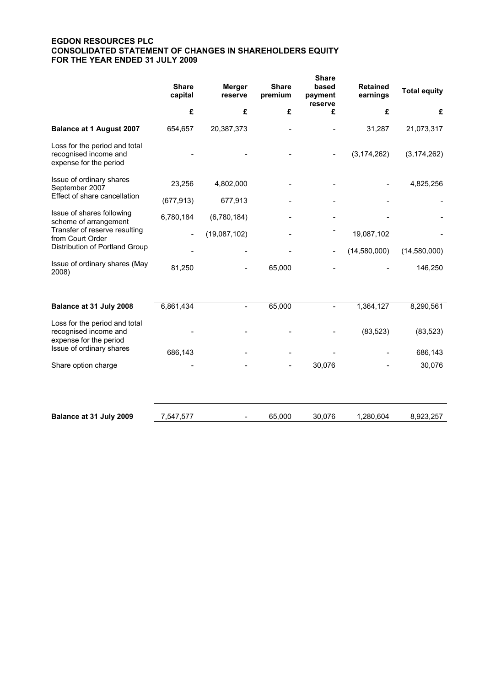# **EGDON RESOURCES PLC CONSOLIDATED STATEMENT OF CHANGES IN SHAREHOLDERS EQUITY FOR THE YEAR ENDED 31 JULY 2009**

|                                                                                  | <b>Share</b><br>capital  | <b>Merger</b><br>reserve | <b>Share</b><br>premium | <b>Share</b><br>based<br>payment<br>reserve | <b>Retained</b><br>earnings | <b>Total equity</b> |
|----------------------------------------------------------------------------------|--------------------------|--------------------------|-------------------------|---------------------------------------------|-----------------------------|---------------------|
|                                                                                  | £                        | £                        | £                       | £                                           | £                           | £                   |
| <b>Balance at 1 August 2007</b>                                                  | 654,657                  | 20,387,373               |                         |                                             | 31,287                      | 21,073,317          |
| Loss for the period and total<br>recognised income and<br>expense for the period |                          |                          |                         |                                             | (3, 174, 262)               | (3, 174, 262)       |
| Issue of ordinary shares<br>September 2007                                       | 23,256                   | 4,802,000                |                         |                                             |                             | 4,825,256           |
| Effect of share cancellation                                                     | (677, 913)               | 677,913                  |                         |                                             |                             |                     |
| Issue of shares following<br>scheme of arrangement                               | 6,780,184                | (6,780,184)              |                         |                                             |                             |                     |
| Transfer of reserve resulting<br>from Court Order                                | $\overline{\phantom{a}}$ | (19,087,102)             |                         |                                             | 19,087,102                  |                     |
| Distribution of Portland Group                                                   |                          |                          |                         |                                             | (14,580,000)                | (14,580,000)        |
| Issue of ordinary shares (May<br>2008)                                           | 81,250                   |                          | 65,000                  |                                             |                             | 146,250             |
| Balance at 31 July 2008                                                          | 6,861,434                | $\overline{\phantom{a}}$ | 65,000                  |                                             | 1,364,127                   | 8,290,561           |
| Loss for the period and total<br>recognised income and<br>expense for the period |                          |                          |                         |                                             | (83, 523)                   | (83, 523)           |
| Issue of ordinary shares                                                         | 686,143                  |                          |                         |                                             |                             | 686,143             |
| Share option charge                                                              |                          |                          |                         | 30,076                                      |                             | 30,076              |
|                                                                                  |                          |                          |                         |                                             |                             |                     |
| Balance at 31 July 2009                                                          | 7,547,577                |                          | 65,000                  | 30,076                                      | 1,280,604                   | 8,923,257           |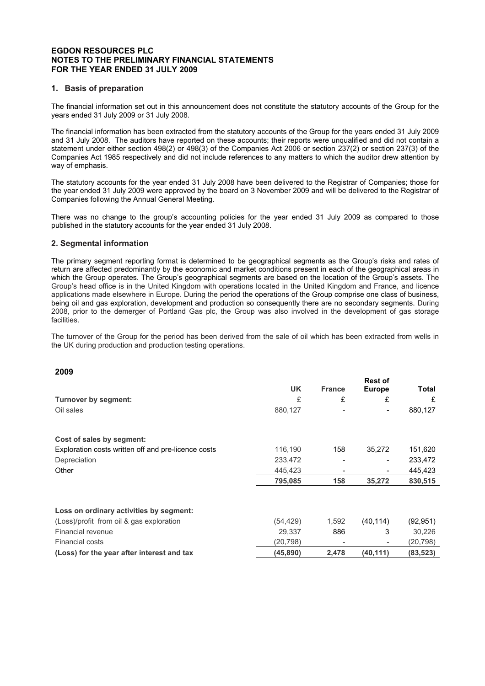### **EGDON RESOURCES PLC NOTES TO THE PRELIMINARY FINANCIAL STATEMENTS FOR THE YEAR ENDED 31 JULY 2009**

## **1. Basis of preparation**

The financial information set out in this announcement does not constitute the statutory accounts of the Group for the years ended 31 July 2009 or 31 July 2008.

The financial information has been extracted from the statutory accounts of the Group for the years ended 31 July 2009 and 31 July 2008. The auditors have reported on these accounts; their reports were unqualified and did not contain a statement under either section 498(2) or 498(3) of the Companies Act 2006 or section 237(2) or section 237(3) of the Companies Act 1985 respectively and did not include references to any matters to which the auditor drew attention by way of emphasis.

The statutory accounts for the year ended 31 July 2008 have been delivered to the Registrar of Companies; those for the year ended 31 July 2009 were approved by the board on 3 November 2009 and will be delivered to the Registrar of Companies following the Annual General Meeting.

There was no change to the group's accounting policies for the year ended 31 July 2009 as compared to those published in the statutory accounts for the year ended 31 July 2008.

## **2. Segmental information**

The primary segment reporting format is determined to be geographical segments as the Group's risks and rates of return are affected predominantly by the economic and market conditions present in each of the geographical areas in which the Group operates. The Group's geographical segments are based on the location of the Group's assets. The Group's head office is in the United Kingdom with operations located in the United Kingdom and France, and licence applications made elsewhere in Europe. During the period the operations of the Group comprise one class of business, being oil and gas exploration, development and production so consequently there are no secondary segments. During 2008, prior to the demerger of Portland Gas plc, the Group was also involved in the development of gas storage facilities.

The turnover of the Group for the period has been derived from the sale of oil which has been extracted from wells in the UK during production and production testing operations.

## **2009**

|                                                     |           |               | <b>Rest of</b> |           |
|-----------------------------------------------------|-----------|---------------|----------------|-----------|
|                                                     | <b>UK</b> | <b>France</b> | <b>Europe</b>  | Total     |
| <b>Turnover by segment:</b>                         | £         | £             | £              | £         |
| Oil sales                                           | 880,127   |               |                | 880,127   |
| Cost of sales by segment:                           |           |               |                |           |
| Exploration costs written off and pre-licence costs | 116,190   | 158           | 35,272         | 151,620   |
| Depreciation                                        | 233,472   |               |                | 233,472   |
| Other                                               | 445,423   |               |                | 445,423   |
|                                                     | 795,085   | 158           | 35,272         | 830,515   |
| Loss on ordinary activities by segment:             |           |               |                |           |
| (Loss)/profit from oil & gas exploration            | (54, 429) | 1,592         | (40, 114)      | (92, 951) |
| Financial revenue                                   | 29,337    | 886           | 3              | 30,226    |
| <b>Financial costs</b>                              | (20.798)  |               |                | (20,798)  |
| (Loss) for the year after interest and tax          | (45, 890) | 2,478         | (40, 111)      | (83, 523) |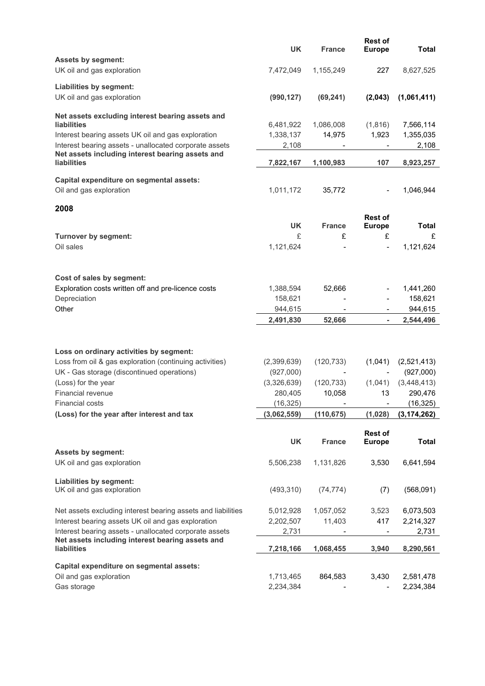|                                                                                                                                                  | <b>UK</b>                | <b>France</b> | <b>Rest of</b><br><b>Europe</b> | <b>Total</b>             |
|--------------------------------------------------------------------------------------------------------------------------------------------------|--------------------------|---------------|---------------------------------|--------------------------|
| <b>Assets by segment:</b><br>UK oil and gas exploration                                                                                          | 7,472,049                | 1,155,249     | 227                             | 8,627,525                |
| Liabilities by segment:<br>UK oil and gas exploration                                                                                            | (990, 127)               | (69, 241)     | (2,043)                         | (1,061,411)              |
| Net assets excluding interest bearing assets and<br>liabilities                                                                                  | 6,481,922                | 1,086,008     | (1,816)                         | 7,566,114                |
| Interest bearing assets UK oil and gas exploration<br>Interest bearing assets - unallocated corporate assets                                     | 1,338,137<br>2,108       | 14,975        | 1,923                           | 1,355,035<br>2,108       |
| Net assets including interest bearing assets and<br><b>liabilities</b>                                                                           | 7,822,167                | 1,100,983     | 107                             | 8,923,257                |
| Capital expenditure on segmental assets:<br>Oil and gas exploration                                                                              | 1,011,172                | 35,772        |                                 | 1,046,944                |
| 2008                                                                                                                                             |                          |               | <b>Rest of</b>                  |                          |
|                                                                                                                                                  | <b>UK</b>                | <b>France</b> | <b>Europe</b>                   | Total                    |
| <b>Turnover by segment:</b>                                                                                                                      | £                        | £             | £                               | £                        |
| Oil sales                                                                                                                                        | 1,121,624                |               | $\overline{a}$                  | 1,121,624                |
| Cost of sales by segment:                                                                                                                        |                          |               |                                 |                          |
| Exploration costs written off and pre-licence costs                                                                                              | 1,388,594                | 52,666        |                                 | 1,441,260                |
| Depreciation<br>Other                                                                                                                            | 158,621<br>944,615       |               |                                 | 158,621<br>944,615       |
|                                                                                                                                                  |                          |               |                                 |                          |
|                                                                                                                                                  | 2,491,830                | 52,666        | $\overline{\phantom{0}}$        | 2,544,496                |
|                                                                                                                                                  |                          |               |                                 |                          |
| Loss on ordinary activities by segment:<br>Loss from oil & gas exploration (continuing activities)<br>UK - Gas storage (discontinued operations) | (2,399,639)<br>(927,000) | (120, 733)    | (1,041)                         | (2,521,413)<br>(927,000) |
| (Loss) for the year                                                                                                                              | (3,326,639)              | (120, 733)    | (1,041)                         | (3,448,413)              |
| Financial revenue                                                                                                                                | 280,405                  | 10,058        | 13                              | 290,476                  |
| <b>Financial costs</b>                                                                                                                           | (16, 325)                |               |                                 | (16, 325)                |
| (Loss) for the year after interest and tax                                                                                                       | (3,062,559)              | (110, 675)    | (1,028)                         | (3, 174, 262)            |
|                                                                                                                                                  | <b>UK</b>                | <b>France</b> | <b>Rest of</b><br><b>Europe</b> | <b>Total</b>             |
| <b>Assets by segment:</b><br>UK oil and gas exploration                                                                                          | 5,506,238                | 1,131,826     | 3,530                           | 6,641,594                |
| Liabilities by segment:<br>UK oil and gas exploration                                                                                            | (493, 310)               | (74, 774)     | (7)                             | (568,091)                |
| Net assets excluding interest bearing assets and liabilities                                                                                     | 5,012,928                | 1,057,052     | 3,523                           | 6,073,503                |
| Interest bearing assets UK oil and gas exploration                                                                                               | 2,202,507                | 11,403        | 417                             | 2,214,327                |
| Interest bearing assets - unallocated corporate assets<br>Net assets including interest bearing assets and                                       | 2,731                    |               |                                 | 2,731                    |
| <b>liabilities</b>                                                                                                                               | 7,218,166                | 1,068,455     | 3,940                           | 8,290,561                |
| Capital expenditure on segmental assets:                                                                                                         |                          |               |                                 |                          |
| Oil and gas exploration                                                                                                                          | 1,713,465                | 864,583       | 3,430                           | 2,581,478<br>2,234,384   |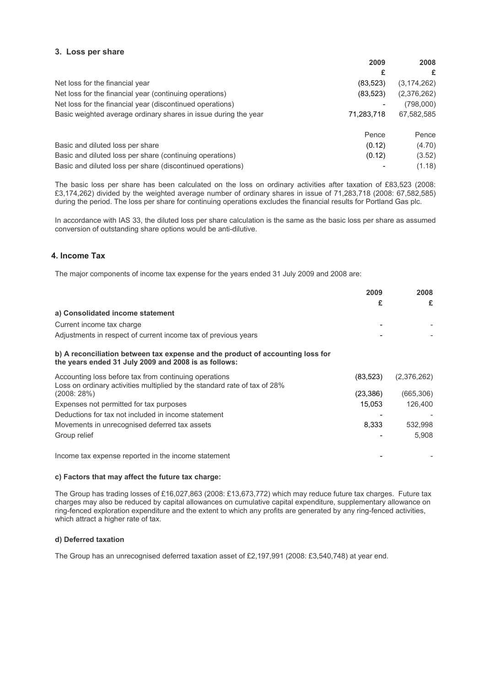### **3. Loss per share**

|                                                                 | 2009       | 2008          |
|-----------------------------------------------------------------|------------|---------------|
|                                                                 | £          | £             |
| Net loss for the financial year                                 | (83, 523)  | (3, 174, 262) |
| Net loss for the financial year (continuing operations)         | (83, 523)  | (2,376,262)   |
| Net loss for the financial year (discontinued operations)       |            | (798,000)     |
| Basic weighted average ordinary shares in issue during the year | 71,283,718 | 67,582,585    |
|                                                                 | Pence      | Pence         |
| Basic and diluted loss per share                                | (0.12)     | (4.70)        |
| Basic and diluted loss per share (continuing operations)        | (0.12)     | (3.52)        |
| Basic and diluted loss per share (discontinued operations)      |            | (1.18)        |

The basic loss per share has been calculated on the loss on ordinary activities after taxation of £83,523 (2008: £3,174,262) divided by the weighted average number of ordinary shares in issue of 71,283,718 (2008: 67,582,585) during the period. The loss per share for continuing operations excludes the financial results for Portland Gas plc.

In accordance with IAS 33, the diluted loss per share calculation is the same as the basic loss per share as assumed conversion of outstanding share options would be anti-dilutive.

# **4. Income Tax**

The major components of income tax expense for the years ended 31 July 2009 and 2008 are:

|                                                                                                                                        | 2009      | 2008        |
|----------------------------------------------------------------------------------------------------------------------------------------|-----------|-------------|
|                                                                                                                                        | £         | £           |
| a) Consolidated income statement                                                                                                       |           |             |
| Current income tax charge                                                                                                              |           |             |
| Adjustments in respect of current income tax of previous years                                                                         |           |             |
| b) A reconciliation between tax expense and the product of accounting loss for<br>the years ended 31 July 2009 and 2008 is as follows: |           |             |
| Accounting loss before tax from continuing operations<br>Loss on ordinary activities multiplied by the standard rate of tax of 28%     | (83, 523) | (2,376,262) |
| (2008:28%)                                                                                                                             | (23, 386) | (665, 306)  |
| Expenses not permitted for tax purposes                                                                                                | 15,053    | 126,400     |
| Deductions for tax not included in income statement                                                                                    |           |             |
| Movements in unrecognised deferred tax assets                                                                                          | 8,333     | 532,998     |
| Group relief                                                                                                                           |           | 5,908       |
| Income tax expense reported in the income statement                                                                                    |           |             |

### **c) Factors that may affect the future tax charge:**

The Group has trading losses of £16,027,863 (2008: £13,673,772) which may reduce future tax charges. Future tax charges may also be reduced by capital allowances on cumulative capital expenditure, supplementary allowance on ring-fenced exploration expenditure and the extent to which any profits are generated by any ring-fenced activities, which attract a higher rate of tax.

### **d) Deferred taxation**

The Group has an unrecognised deferred taxation asset of £2,197,991 (2008: £3,540,748) at year end.